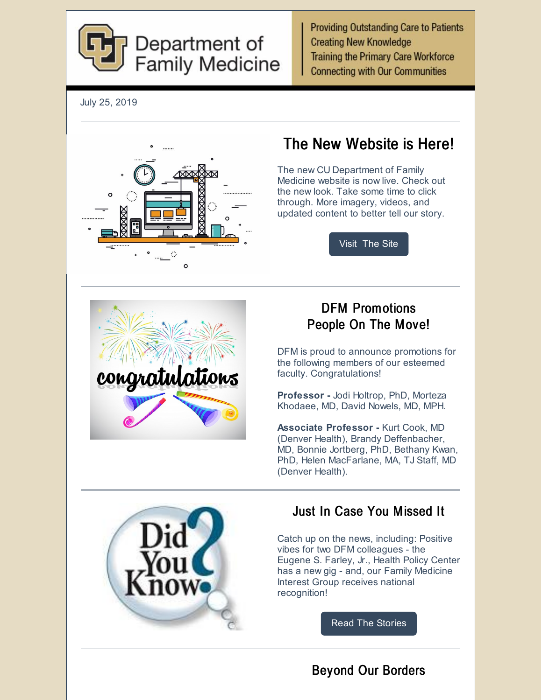

**Providing Outstanding Care to Patients Creating New Knowledge Training the Primary Care Workforce Connecting with Our Communities** 

July 25, 2019



# The New Website is Here!

The new CU Department of Family Medicine website is now live. Check out the new look. Take some time to click through. More imagery, videos, and updated content to better tell our story.

[Visit](https://medschool.cuanschutz.edu/family-medicine) The Site



### DFM Promotions People On The Move!

DFM is proud to announce promotions for the following members of our esteemed faculty. Congratulations!

**Professor -** Jodi Holtrop, PhD, Morteza Khodaee, MD, David Nowels, MD, MPH.

**Associate Professor -** Kurt Cook, MD (Denver Health), Brandy Deffenbacher, MD, Bonnie Jortberg, PhD, Bethany Kwan, PhD, Helen MacFarlane, MA, TJ Staff, MD (Denver Health).



## Just In Case You Missed It

Catch up on the news, including: Positive vibes for two DFM colleagues - the Eugene S. Farley, Jr., Health Policy Center has a new gig - and, our Family Medicine Interest Group receives national recognition!

Read The [Stories](https://medschool.cuanschutz.edu/family-medicine/about/news)

## Beyond Our Borders